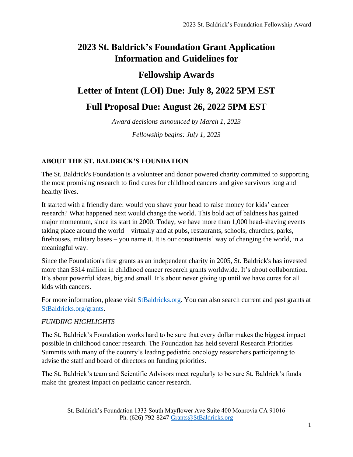# **2023 St. Baldrick's Foundation Grant Application Information and Guidelines for**

# **Fellowship Awards**

# **Letter of Intent (LOI) Due: July 8, 2022 5PM EST**

# **Full Proposal Due: August 26, 2022 5PM EST**

*Award decisions announced by March 1, 2023 Fellowship begins: July 1, 2023*

## **ABOUT THE ST. BALDRICK'S FOUNDATION**

The St. Baldrick's Foundation is a volunteer and donor powered charity committed to supporting the most promising research to find cures for childhood cancers and give survivors long and healthy lives.

It started with a friendly dare: would you shave your head to raise money for kids' cancer research? What happened next would change the world. This bold act of baldness has gained major momentum, since its start in 2000. Today, we have more than 1,000 head-shaving events taking place around the world – virtually and at pubs, restaurants, schools, churches, parks, firehouses, military bases – you name it. It is our constituents' way of changing the world, in a meaningful way.

Since the Foundation's first grants as an independent charity in 2005, St. Baldrick's has invested more than \$314 million in childhood cancer research grants worldwide. It's about collaboration. It's about powerful ideas, big and small. It's about never giving up until we have cures for all kids with cancers.

For more information, please visit [StBaldricks.org.](https://www.stbaldricks.org/) You can also search current and past grants at [StBaldricks.org/grants.](https://www.stbaldricks.org/grants)

### *FUNDING HIGHLIGHTS*

The St. Baldrick's Foundation works hard to be sure that every dollar makes the biggest impact possible in childhood cancer research. The Foundation has held several Research Priorities Summits with many of the country's leading pediatric oncology researchers participating to advise the staff and board of directors on funding priorities.

The St. Baldrick's team and Scientific Advisors meet regularly to be sure St. Baldrick's funds make the greatest impact on pediatric cancer research.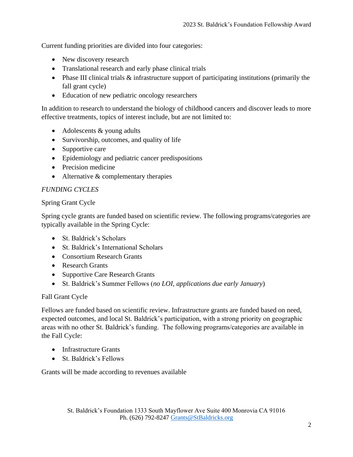Current funding priorities are divided into four categories:

- New discovery research
- Translational research and early phase clinical trials
- Phase III clinical trials  $\&$  infrastructure support of participating institutions (primarily the fall grant cycle)
- Education of new pediatric oncology researchers

In addition to research to understand the biology of childhood cancers and discover leads to more effective treatments, topics of interest include, but are not limited to:

- Adolescents & young adults
- Survivorship, outcomes, and quality of life
- Supportive care
- Epidemiology and pediatric cancer predispositions
- Precision medicine
- Alternative & complementary therapies

#### *FUNDING CYCLES*

#### Spring Grant Cycle

Spring cycle grants are funded based on scientific review. The following programs/categories are typically available in the Spring Cycle:

- St. Baldrick's Scholars
- St. Baldrick's International Scholars
- Consortium Research Grants
- Research Grants
- Supportive Care Research Grants
- St. Baldrick's Summer Fellows (*no LOI, applications due early January*)

#### Fall Grant Cycle

Fellows are funded based on scientific review. Infrastructure grants are funded based on need, expected outcomes, and local St. Baldrick's participation, with a strong priority on geographic areas with no other St. Baldrick's funding. The following programs/categories are available in the Fall Cycle:

- Infrastructure Grants
- St. Baldrick's Fellows

Grants will be made according to revenues available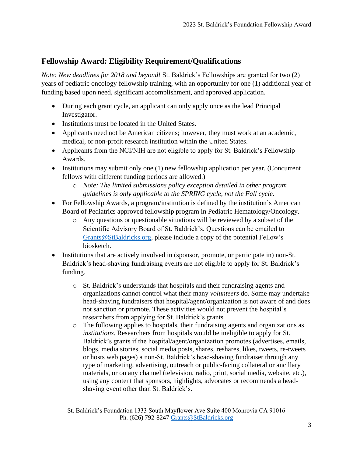## **Fellowship Award: Eligibility Requirement/Qualifications**

*Note: New deadlines for 2018 and beyond!* St. Baldrick's Fellowships are granted for two (2) years of pediatric oncology fellowship training, with an opportunity for one (1) additional year of funding based upon need, significant accomplishment, and approved application.

- During each grant cycle, an applicant can only apply once as the lead Principal Investigator.
- Institutions must be located in the United States.
- Applicants need not be American citizens; however, they must work at an academic, medical, or non-profit research institution within the United States.
- Applicants from the NCI/NIH are not eligible to apply for St. Baldrick's Fellowship Awards.
- Institutions may submit only one (1) new fellowship application per year. (Concurrent fellows with different funding periods are allowed.)
	- o *Note: The limited submissions policy exception detailed in other program guidelines is only applicable to the SPRING cycle, not the Fall cycle.*
- For Fellowship Awards, a program/institution is defined by the institution's American Board of Pediatrics approved fellowship program in Pediatric Hematology/Oncology.
	- o Any questions or questionable situations will be reviewed by a subset of the Scientific Advisory Board of St. Baldrick's. Questions can be emailed to [Grants@StBaldricks.org,](mailto:Grants@Stbaldricks.org) please include a copy of the potential Fellow's biosketch.
- Institutions that are actively involved in (sponsor, promote, or participate in) non-St. Baldrick's head-shaving fundraising events are not eligible to apply for St. Baldrick's funding.
	- o St. Baldrick's understands that hospitals and their fundraising agents and organizations cannot control what their many *volunteers* do. Some may undertake head-shaving fundraisers that hospital/agent/organization is not aware of and does not sanction or promote. These activities would not prevent the hospital's researchers from applying for St. Baldrick's grants.
	- o The following applies to hospitals, their fundraising agents and organizations as *institutions*. Researchers from hospitals would be ineligible to apply for St. Baldrick's grants if the hospital/agent/organization promotes (advertises, emails, blogs, media stories, social media posts, shares, reshares, likes, tweets, re-tweets or hosts web pages) a non-St. Baldrick's head-shaving fundraiser through any type of marketing, advertising, outreach or public-facing collateral or ancillary materials, or on any channel (television, radio, print, social media, website, etc.), using any content that sponsors, highlights, advocates or recommends a headshaving event other than St. Baldrick's.

St. Baldrick's Foundation 1333 South Mayflower Ave Suite 400 Monrovia CA 91016 Ph. (626) 792-8247 [Grants@StBaldricks.org](mailto:Grants@StBaldricks.org)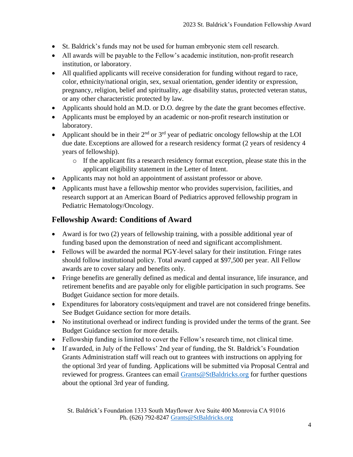- St. Baldrick's funds may not be used for human embryonic stem cell research.
- All awards will be payable to the Fellow's academic institution, non-profit research institution, or laboratory.
- All qualified applicants will receive consideration for funding without regard to race, color, ethnicity/national origin, sex, sexual orientation, gender identity or expression, pregnancy, religion, belief and spirituality, age disability status, protected veteran status, or any other characteristic protected by law.
- Applicants should hold an M.D. or D.O. degree by the date the grant becomes effective.
- Applicants must be employed by an academic or non-profit research institution or laboratory.
- Applicant should be in their  $2<sup>nd</sup>$  or  $3<sup>rd</sup>$  year of pediatric oncology fellowship at the LOI due date. Exceptions are allowed for a research residency format (2 years of residency 4 years of fellowship).
	- o If the applicant fits a research residency format exception, please state this in the applicant eligibility statement in the Letter of Intent.
- Applicants may not hold an appointment of assistant professor or above.
- Applicants must have a fellowship mentor who provides supervision, facilities, and research support at an American Board of Pediatrics approved fellowship program in Pediatric Hematology/Oncology.

## **Fellowship Award: Conditions of Award**

- Award is for two (2) years of fellowship training, with a possible additional year of funding based upon the demonstration of need and significant accomplishment.
- Fellows will be awarded the normal PGY-level salary for their institution. Fringe rates should follow institutional policy. Total award capped at \$97,500 per year. All Fellow awards are to cover salary and benefits only.
- Fringe benefits are generally defined as medical and dental insurance, life insurance, and retirement benefits and are payable only for eligible participation in such programs. See Budget Guidance section for more details.
- Expenditures for laboratory costs/equipment and travel are not considered fringe benefits. See Budget Guidance section for more details.
- No institutional overhead or indirect funding is provided under the terms of the grant. See Budget Guidance section for more details.
- Fellowship funding is limited to cover the Fellow's research time, not clinical time.
- If awarded, in July of the Fellows' 2nd year of funding, the St. Baldrick's Foundation Grants Administration staff will reach out to grantees with instructions on applying for the optional 3rd year of funding. Applications will be submitted via Proposal Central and reviewed for progress. Grantees can email [Grants@StBaldricks.org](mailto:Grants@StBaldricks.org) for further questions about the optional 3rd year of funding.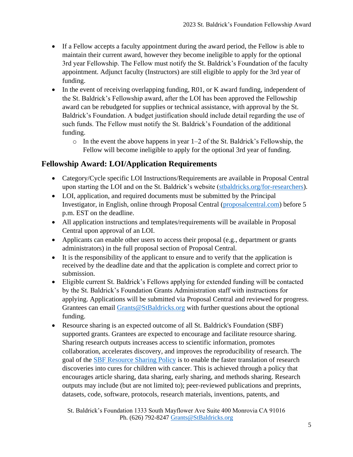- If a Fellow accepts a faculty appointment during the award period, the Fellow is able to maintain their current award, however they become ineligible to apply for the optional 3rd year Fellowship. The Fellow must notify the St. Baldrick's Foundation of the faculty appointment. Adjunct faculty (Instructors) are still eligible to apply for the 3rd year of funding.
- In the event of receiving overlapping funding, R01, or K award funding, independent of the St. Baldrick's Fellowship award, after the LOI has been approved the Fellowship award can be rebudgeted for supplies or technical assistance, with approval by the St. Baldrick's Foundation. A budget justification should include detail regarding the use of such funds. The Fellow must notify the St. Baldrick's Foundation of the additional funding.
	- $\circ$  In the event the above happens in year 1–2 of the St. Baldrick's Fellowship, the Fellow will become ineligible to apply for the optional 3rd year of funding.

## **Fellowship Award: LOI/Application Requirements**

- Category/Cycle specific LOI Instructions/Requirements are available in Proposal Central upon starting the LOI and on the St. Baldrick's website [\(stbaldricks.org/for-researchers\)](https://www.stbaldricks.org/for-researchers).
- LOI, application, and required documents must be submitted by the Principal Investigator, in English, online through Proposal Central [\(proposalcentral.com\)](https://proposalcentral.altum.com/) before 5 p.m. EST on the deadline.
- All application instructions and templates/requirements will be available in Proposal Central upon approval of an LOI.
- Applicants can enable other users to access their proposal (e.g., department or grants administrators) in the full proposal section of Proposal Central.
- It is the responsibility of the applicant to ensure and to verify that the application is received by the deadline date and that the application is complete and correct prior to submission.
- Eligible current St. Baldrick's Fellows applying for extended funding will be contacted by the St. Baldrick's Foundation Grants Administration staff with instructions for applying. Applications will be submitted via Proposal Central and reviewed for progress. Grantees can email [Grants@StBaldricks.org](mailto:Grants@StBaldricks.org) with further questions about the optional funding.
- Resource sharing is an expected outcome of all St. Baldrick's Foundation (SBF) supported grants. Grantees are expected to encourage and facilitate resource sharing. Sharing research outputs increases access to scientific information, promotes collaboration, accelerates discovery, and improves the reproducibility of research. The goal of the [SBF Resource Sharing Policy](https://www.stbaldricks.org/file/website_content/see_the_impact/SBF-Resource-Sharing-Policy.pdf) is to enable the faster translation of research discoveries into cures for children with cancer. This is achieved through a policy that encourages article sharing, data sharing, early sharing, and methods sharing. Research outputs may include (but are not limited to); peer-reviewed publications and preprints, datasets, code, software, protocols, research materials, inventions, patents, and

```
St. Baldrick's Foundation 1333 South Mayflower Ave Suite 400 Monrovia CA 91016
      Ph. (626) 792-8247 Grants@StBaldricks.org
```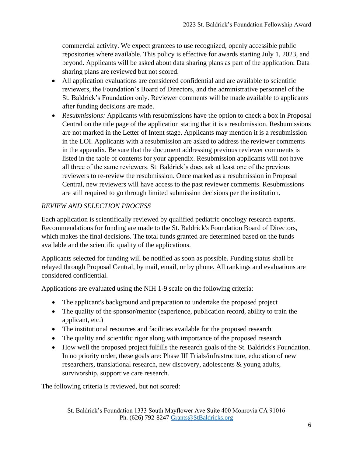commercial activity. We expect grantees to use recognized, openly accessible public repositories where available. This policy is effective for awards starting July 1, 2023, and beyond. Applicants will be asked about data sharing plans as part of the application. Data sharing plans are reviewed but not scored.

- All application evaluations are considered confidential and are available to scientific reviewers, the Foundation's Board of Directors, and the administrative personnel of the St. Baldrick's Foundation only. Reviewer comments will be made available to applicants after funding decisions are made.
- *Resubmissions:* Applicants with resubmissions have the option to check a box in Proposal Central on the title page of the application stating that it is a resubmission. Resbumissions are not marked in the Letter of Intent stage. Applicants may mention it is a resubmission in the LOI. Applicants with a resubmission are asked to address the reviewer comments in the appendix. Be sure that the document addressing previous reviewer comments is listed in the table of contents for your appendix. Resubmission applicants will not have all three of the same reviewers. St. Baldrick's does ask at least one of the previous reviewers to re-review the resubmission. Once marked as a resubmission in Proposal Central, new reviewers will have access to the past reviewer comments. Resubmissions are still required to go through limited submission decisions per the institution.

## *REVIEW AND SELECTION PROCESS*

Each application is scientifically reviewed by qualified pediatric oncology research experts. Recommendations for funding are made to the St. Baldrick's Foundation Board of Directors, which makes the final decisions. The total funds granted are determined based on the funds available and the scientific quality of the applications.

Applicants selected for funding will be notified as soon as possible. Funding status shall be relayed through Proposal Central, by mail, email, or by phone. All rankings and evaluations are considered confidential.

Applications are evaluated using the NIH 1-9 scale on the following criteria:

- The applicant's background and preparation to undertake the proposed project
- The quality of the sponsor/mentor (experience, publication record, ability to train the applicant, etc.)
- The institutional resources and facilities available for the proposed research
- The quality and scientific rigor along with importance of the proposed research
- How well the proposed project fulfills the research goals of the St. Baldrick's Foundation. In no priority order, these goals are: Phase III Trials/infrastructure, education of new researchers, translational research, new discovery, adolescents & young adults, survivorship, supportive care research.

The following criteria is reviewed, but not scored: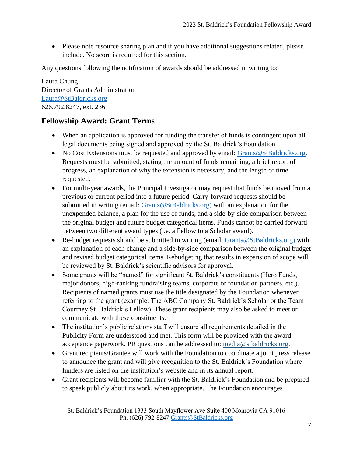• Please note resource sharing plan and if you have additional suggestions related, please include. No score is required for this section.

Any questions following the notification of awards should be addressed in writing to:

Laura Chung Director of Grants Administration [Laura@StBaldricks.org](mailto:Laura@StBaldricks.org) 626.792.8247, ext. 236

## **Fellowship Award: Grant Terms**

- When an application is approved for funding the transfer of funds is contingent upon all legal documents being signed and approved by the St. Baldrick's Foundation.
- No Cost Extensions must be requested and approved by email: [Grants@StBaldricks.org.](mailto:Grants@StBaldricks.org) Requests must be submitted, stating the amount of funds remaining, a brief report of progress, an explanation of why the extension is necessary, and the length of time requested.
- For multi-year awards, the Principal Investigator may request that funds be moved from a previous or current period into a future period. Carry-forward requests should be submitted in writing (email: [Grants@StBaldricks.org\)](mailto:Grants@StBaldricks.org) with an explanation for the unexpended balance, a plan for the use of funds, and a side-by-side comparison between the original budget and future budget categorical items. Funds cannot be carried forward between two different award types (i.e. a Fellow to a Scholar award).
- Re-budget requests should be submitted in writing (email: [Grants@StBaldricks.org\)](mailto:Grants@StBaldricks.org) with an explanation of each change and a side-by-side comparison between the original budget and revised budget categorical items. Rebudgeting that results in expansion of scope will be reviewed by St. Baldrick's scientific advisors for approval.
- Some grants will be "named" for significant St. Baldrick's constituents (Hero Funds, major donors, high-ranking fundraising teams, corporate or foundation partners, etc.). Recipients of named grants must use the title designated by the Foundation whenever referring to the grant (example: The ABC Company St. Baldrick's Scholar or the Team Courtney St. Baldrick's Fellow). These grant recipients may also be asked to meet or communicate with these constituents.
- The institution's public relations staff will ensure all requirements detailed in the Publicity Form are understood and met. This form will be provided with the award acceptance paperwork. PR questions can be addressed to: [media@stbaldricks.org.](mailto:media@stbaldricks.org)
- Grant recipients/Grantee will work with the Foundation to coordinate a joint press release to announce the grant and will give recognition to the St. Baldrick's Foundation where funders are listed on the institution's website and in its annual report.
- Grant recipients will become familiar with the St. Baldrick's Foundation and be prepared to speak publicly about its work, when appropriate. The Foundation encourages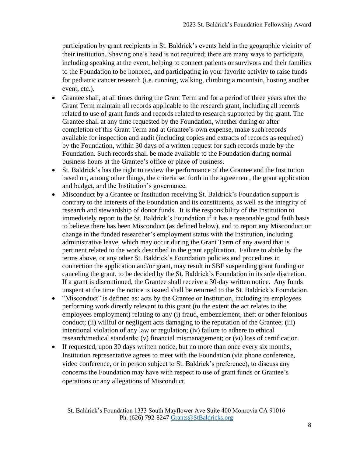participation by grant recipients in St. Baldrick's events held in the geographic vicinity of their institution. Shaving one's head is not required; there are many ways to participate, including speaking at the event, helping to connect patients or survivors and their families to the Foundation to be honored, and participating in your favorite activity to raise funds for pediatric cancer research (i.e. running, walking, climbing a mountain, hosting another event, etc.).

- Grantee shall, at all times during the Grant Term and for a period of three years after the Grant Term maintain all records applicable to the research grant, including all records related to use of grant funds and records related to research supported by the grant. The Grantee shall at any time requested by the Foundation, whether during or after completion of this Grant Term and at Grantee's own expense, make such records available for inspection and audit (including copies and extracts of records as required) by the Foundation, within 30 days of a written request for such records made by the Foundation. Such records shall be made available to the Foundation during normal business hours at the Grantee's office or place of business.
- St. Baldrick's has the right to review the performance of the Grantee and the Institution based on, among other things, the criteria set forth in the agreement, the grant application and budget, and the Institution's governance.
- Misconduct by a Grantee or Institution receiving St. Baldrick's Foundation support is contrary to the interests of the Foundation and its constituents, as well as the integrity of research and stewardship of donor funds. It is the responsibility of the Institution to immediately report to the St. Baldrick's Foundation if it has a reasonable good faith basis to believe there has been Misconduct (as defined below), and to report any Misconduct or change in the funded researcher's employment status with the Institution, including administrative leave, which may occur during the Grant Term of any award that is pertinent related to the work described in the grant application. Failure to abide by the terms above, or any other St. Baldrick's Foundation policies and procedures in connection the application and/or grant, may result in SBF suspending grant funding or canceling the grant, to be decided by the St. Baldrick's Foundation in its sole discretion. If a grant is discontinued, the Grantee shall receive a 30-day written notice. Any funds unspent at the time the notice is issued shall be returned to the St. Baldrick's Foundation.
- "Misconduct" is defined as: acts by the Grantee or Institution, including its employees performing work directly relevant to this grant (to the extent the act relates to the employees employment) relating to any (i) fraud, embezzlement, theft or other felonious conduct; (ii) willful or negligent acts damaging to the reputation of the Grantee; (iii) intentional violation of any law or regulation; (iv) failure to adhere to ethical research/medical standards; (v) financial mismanagement; or (vi) loss of certification.
- If requested, upon 30 days written notice, but no more than once every six months, Institution representative agrees to meet with the Foundation (via phone conference, video conference, or in person subject to St. Baldrick's preference), to discuss any concerns the Foundation may have with respect to use of grant funds or Grantee's operations or any allegations of Misconduct.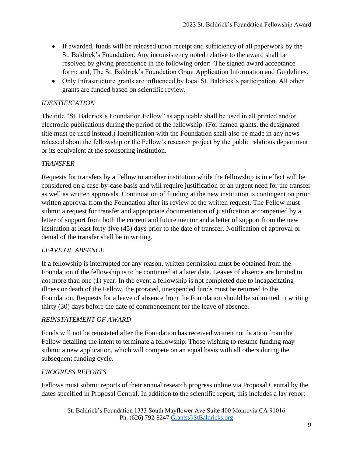- If awarded, funds will be released upon receipt and sufficiency of all paperwork by the St. Baldrick's Foundation. Any inconsistency noted relative to the award shall be resolved by giving precedence in the following order: The signed award acceptance form; and, The St. Baldrick's Foundation Grant Application Information and Guidelines.
- Only Infrastructure grants are influenced by local St. Baldrick's participation. All other grants are funded based on scientific review.

## *IDENTIFICATION*

The title "St. Baldrick's Foundation Fellow" as applicable shall be used in all printed and/or electronic publications during the period of the fellowship. (For named grants, the designated title must be used instead.) Identification with the Foundation shall also be made in any news released about the fellowship or the Fellow's research project by the public relations department or its equivalent at the sponsoring institution.

## *TRANSFER*

Requests for transfers by a Fellow to another institution while the fellowship is in effect will be considered on a case-by-case basis and will require justification of an urgent need for the transfer as well as written approvals. Continuation of funding at the new institution is contingent on prior written approval from the Foundation after its review of the written request. The Fellow must submit a request for transfer and appropriate documentation of justification accompanied by a letter of support from both the current and future mentor and a letter of support from the new institution at least forty-five (45) days prior to the date of transfer. Notification of approval or denial of the transfer shall be in writing.

## *LEAVE OF ABSENCE*

If a fellowship is interrupted for any reason, written permission must be obtained from the Foundation if the fellowship is to be continued at a later date. Leaves of absence are limited to not more than one (1) year. In the event a fellowship is not completed due to incapacitating illness or death of the Fellow, the prorated, unexpended funds must be returned to the Foundation. Requests for a leave of absence from the Foundation should be submitted in writing thirty (30) days before the date of commencement for the leave of absence.

### *REINSTATEMENT OF AWARD*

Funds will not be reinstated after the Foundation has received written notification from the Fellow detailing the intent to terminate a fellowship. Those wishing to resume funding may submit a new application, which will compete on an equal basis with all others during the subsequent funding cycle.

### *PROGRESS REPORTS*

Fellows must submit reports of their annual research progress online via Proposal Central by the dates specified in Proposal Central. In addition to the scientific report, this includes a lay report

St. Baldrick's Foundation 1333 South Mayflower Ave Suite 400 Monrovia CA 91016 Ph. (626) 792-8247 [Grants@StBaldricks.org](mailto:Grants@StBaldricks.org)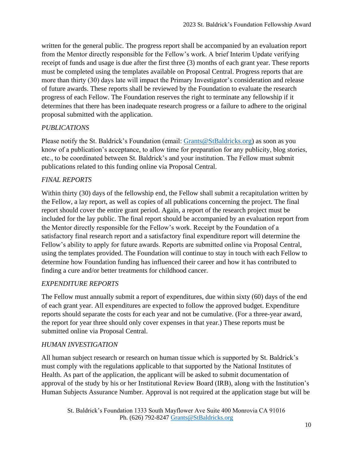written for the general public. The progress report shall be accompanied by an evaluation report from the Mentor directly responsible for the Fellow's work. A brief Interim Update verifying receipt of funds and usage is due after the first three (3) months of each grant year. These reports must be completed using the templates available on Proposal Central. Progress reports that are more than thirty (30) days late will impact the Primary Investigator's consideration and release of future awards. These reports shall be reviewed by the Foundation to evaluate the research progress of each Fellow. The Foundation reserves the right to terminate any fellowship if it determines that there has been inadequate research progress or a failure to adhere to the original proposal submitted with the application.

#### *PUBLICATIONS*

Please notify the St. Baldrick's Foundation (email: [Grants@StBaldricks.org\)](mailto:Grants@StBaldricks.org) as soon as you know of a publication's acceptance, to allow time for preparation for any publicity, blog stories, etc., to be coordinated between St. Baldrick's and your institution. The Fellow must submit publications related to this funding online via Proposal Central.

#### *FINAL REPORTS*

Within thirty (30) days of the fellowship end, the Fellow shall submit a recapitulation written by the Fellow, a lay report, as well as copies of all publications concerning the project. The final report should cover the entire grant period. Again, a report of the research project must be included for the lay public. The final report should be accompanied by an evaluation report from the Mentor directly responsible for the Fellow's work. Receipt by the Foundation of a satisfactory final research report and a satisfactory final expenditure report will determine the Fellow's ability to apply for future awards. Reports are submitted online via Proposal Central, using the templates provided. The Foundation will continue to stay in touch with each Fellow to determine how Foundation funding has influenced their career and how it has contributed to finding a cure and/or better treatments for childhood cancer.

#### *EXPENDITURE REPORTS*

The Fellow must annually submit a report of expenditures, due within sixty (60) days of the end of each grant year. All expenditures are expected to follow the approved budget. Expenditure reports should separate the costs for each year and not be cumulative. (For a three-year award, the report for year three should only cover expenses in that year.) These reports must be submitted online via Proposal Central.

#### *HUMAN INVESTIGATION*

All human subject research or research on human tissue which is supported by St. Baldrick's must comply with the regulations applicable to that supported by the National Institutes of Health. As part of the application, the applicant will be asked to submit documentation of approval of the study by his or her Institutional Review Board (IRB), along with the Institution's Human Subjects Assurance Number. Approval is not required at the application stage but will be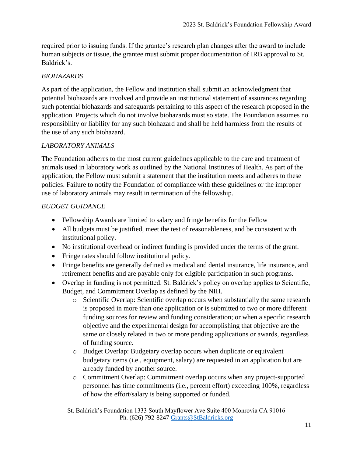required prior to issuing funds. If the grantee's research plan changes after the award to include human subjects or tissue, the grantee must submit proper documentation of IRB approval to St. Baldrick's.

#### *BIOHAZARDS*

As part of the application, the Fellow and institution shall submit an acknowledgment that potential biohazards are involved and provide an institutional statement of assurances regarding such potential biohazards and safeguards pertaining to this aspect of the research proposed in the application. Projects which do not involve biohazards must so state. The Foundation assumes no responsibility or liability for any such biohazard and shall be held harmless from the results of the use of any such biohazard.

#### *LABORATORY ANIMALS*

The Foundation adheres to the most current guidelines applicable to the care and treatment of animals used in laboratory work as outlined by the National Institutes of Health. As part of the application, the Fellow must submit a statement that the institution meets and adheres to these policies. Failure to notify the Foundation of compliance with these guidelines or the improper use of laboratory animals may result in termination of the fellowship.

### *BUDGET GUIDANCE*

- Fellowship Awards are limited to salary and fringe benefits for the Fellow
- All budgets must be justified, meet the test of reasonableness, and be consistent with institutional policy.
- No institutional overhead or indirect funding is provided under the terms of the grant.
- Fringe rates should follow institutional policy.
- Fringe benefits are generally defined as medical and dental insurance, life insurance, and retirement benefits and are payable only for eligible participation in such programs.
- Overlap in funding is not permitted. St. Baldrick's policy on overlap applies to Scientific, Budget, and Commitment Overlap as defined by the NIH.
	- o Scientific Overlap: Scientific overlap occurs when substantially the same research is proposed in more than one application or is submitted to two or more different funding sources for review and funding consideration; or when a specific research objective and the experimental design for accomplishing that objective are the same or closely related in two or more pending applications or awards, regardless of funding source.
	- o Budget Overlap: Budgetary overlap occurs when duplicate or equivalent budgetary items (i.e., equipment, salary) are requested in an application but are already funded by another source.
	- o Commitment Overlap: Commitment overlap occurs when any project-supported personnel has time commitments (i.e., percent effort) exceeding 100%, regardless of how the effort/salary is being supported or funded.
	- St. Baldrick's Foundation 1333 South Mayflower Ave Suite 400 Monrovia CA 91016 Ph. (626) 792-8247 [Grants@StBaldricks.org](mailto:Grants@StBaldricks.org)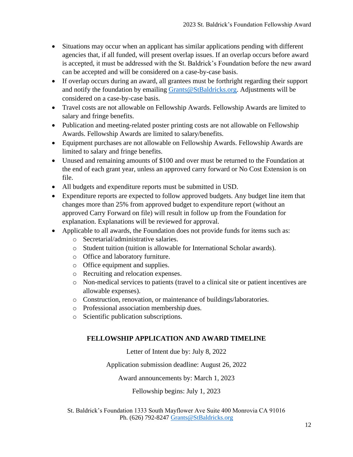- Situations may occur when an applicant has similar applications pending with different agencies that, if all funded, will present overlap issues. If an overlap occurs before award is accepted, it must be addressed with the St. Baldrick's Foundation before the new award can be accepted and will be considered on a case-by-case basis.
- If overlap occurs during an award, all grantees must be forthright regarding their support and notify the foundation by emailing [Grants@StBaldricks.org.](mailto:Grants@StBaldricks.org) Adjustments will be considered on a case-by-case basis.
- Travel costs are not allowable on Fellowship Awards. Fellowship Awards are limited to salary and fringe benefits.
- Publication and meeting-related poster printing costs are not allowable on Fellowship Awards. Fellowship Awards are limited to salary/benefits.
- Equipment purchases are not allowable on Fellowship Awards. Fellowship Awards are limited to salary and fringe benefits.
- Unused and remaining amounts of \$100 and over must be returned to the Foundation at the end of each grant year, unless an approved carry forward or No Cost Extension is on file.
- All budgets and expenditure reports must be submitted in USD.
- Expenditure reports are expected to follow approved budgets. Any budget line item that changes more than 25% from approved budget to expenditure report (without an approved Carry Forward on file) will result in follow up from the Foundation for explanation. Explanations will be reviewed for approval.
- Applicable to all awards, the Foundation does not provide funds for items such as:
	- o Secretarial/administrative salaries.
	- o Student tuition (tuition is allowable for International Scholar awards).
	- o Office and laboratory furniture.
	- o Office equipment and supplies.
	- o Recruiting and relocation expenses.
	- o Non-medical services to patients (travel to a clinical site or patient incentives are allowable expenses).
	- o Construction, renovation, or maintenance of buildings/laboratories.
	- o Professional association membership dues.
	- o Scientific publication subscriptions.

### **FELLOWSHIP APPLICATION AND AWARD TIMELINE**

Letter of Intent due by: July 8, 2022

Application submission deadline: August 26, 2022

Award announcements by: March 1, 2023

Fellowship begins: July 1, 2023

St. Baldrick's Foundation 1333 South Mayflower Ave Suite 400 Monrovia CA 91016 Ph. (626) 792-8247 [Grants@StBaldricks.org](mailto:Grants@StBaldricks.org)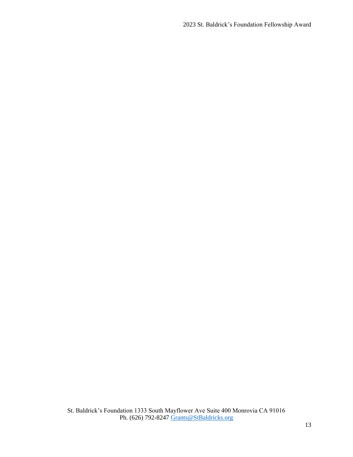St. Baldrick's Foundation 1333 South Mayflower Ave Suite 400 Monrovia CA 91016 Ph. (626) 792-8247 [Grants@StBaldricks.org](mailto:Grants@StBaldricks.org)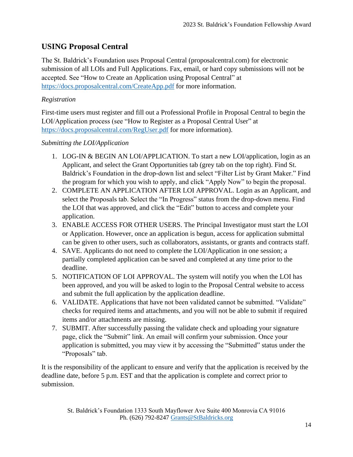# **USING Proposal Central**

The St. Baldrick's Foundation uses Proposal Central (proposalcentral.com) for electronic submission of all LOIs and Full Applications. Fax, email, or hard copy submissions will not be accepted. See "How to Create an Application using Proposal Central" at <https://docs.proposalcentral.com/CreateApp.pdf> for more information.

## *Registration*

First-time users must register and fill out a Professional Profile in Proposal Central to begin the LOI/Application process (see "How to Register as a Proposal Central User" at <https://docs.proposalcentral.com/RegUser.pdf> for more information).

## *Submitting the LOI/Application*

- 1. LOG-IN & BEGIN AN LOI/APPLICATION. To start a new LOI/application, login as an Applicant, and select the Grant Opportunities tab (grey tab on the top right). Find St. Baldrick's Foundation in the drop-down list and select "Filter List by Grant Maker." Find the program for which you wish to apply, and click "Apply Now" to begin the proposal.
- 2. COMPLETE AN APPLICATION AFTER LOI APPROVAL. Login as an Applicant, and select the Proposals tab. Select the "In Progress" status from the drop-down menu. Find the LOI that was approved, and click the "Edit" button to access and complete your application.
- 3. ENABLE ACCESS FOR OTHER USERS. The Principal Investigator must start the LOI or Application. However, once an application is begun, access for application submittal can be given to other users, such as collaborators, assistants, or grants and contracts staff.
- 4. SAVE. Applicants do not need to complete the LOI/Application in one session; a partially completed application can be saved and completed at any time prior to the deadline.
- 5. NOTIFICATION OF LOI APPROVAL. The system will notify you when the LOI has been approved, and you will be asked to login to the Proposal Central website to access and submit the full application by the application deadline.
- 6. VALIDATE. Applications that have not been validated cannot be submitted. "Validate" checks for required items and attachments, and you will not be able to submit if required items and/or attachments are missing.
- 7. SUBMIT. After successfully passing the validate check and uploading your signature page, click the "Submit" link. An email will confirm your submission. Once your application is submitted, you may view it by accessing the "Submitted" status under the "Proposals" tab.

It is the responsibility of the applicant to ensure and verify that the application is received by the deadline date, before 5 p.m. EST and that the application is complete and correct prior to submission.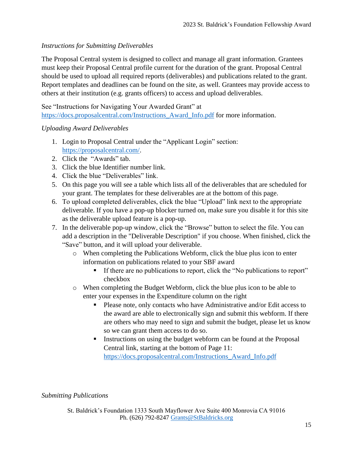#### *Instructions for Submitting Deliverables*

The Proposal Central system is designed to collect and manage all grant information. Grantees must keep their Proposal Central profile current for the duration of the grant. Proposal Central should be used to upload all required reports (deliverables) and publications related to the grant. Report templates and deadlines can be found on the site, as well. Grantees may provide access to others at their institution (e.g. grants officers) to access and upload deliverables.

See "Instructions for Navigating Your Awarded Grant" at https://docs.proposalcentral.com/Instructions Award Info.pdf for more information.

#### *Uploading Award Deliverables*

- 1. Login to Proposal Central under the "Applicant Login" section: [https://proposalcentral.com/.](https://proposalcentral.com/)
- 2. Click the "Awards" tab.
- 3. Click the blue Identifier number link.
- 4. Click the blue "Deliverables" link.
- 5. On this page you will see a table which lists all of the deliverables that are scheduled for your grant. The templates for these deliverables are at the bottom of this page.
- 6. To upload completed deliverables, click the blue "Upload" link next to the appropriate deliverable. If you have a pop-up blocker turned on, make sure you disable it for this site as the deliverable upload feature is a pop-up.
- 7. In the deliverable pop-up window, click the "Browse" button to select the file. You can add a description in the "Deliverable Description" if you choose. When finished, click the "Save" button, and it will upload your deliverable.
	- o When completing the Publications Webform, click the blue plus icon to enter information on publications related to your SBF award
		- **If there are no publications to report, click the "No publications to report"** checkbox
	- o When completing the Budget Webform, click the blue plus icon to be able to enter your expenses in the Expenditure column on the right
		- Please note, only contacts who have Administrative and/or Edit access to the award are able to electronically sign and submit this webform. If there are others who may need to sign and submit the budget, please let us know so we can grant them access to do so.
		- **EXECUTE:** Instructions on using the budget webform can be found at the Proposal Central link, starting at the bottom of Page 11: [https://docs.proposalcentral.com/Instructions\\_Award\\_Info.pdf](https://docs.proposalcentral.com/Instructions_Award_Info.pdf)

#### *Submitting Publications*